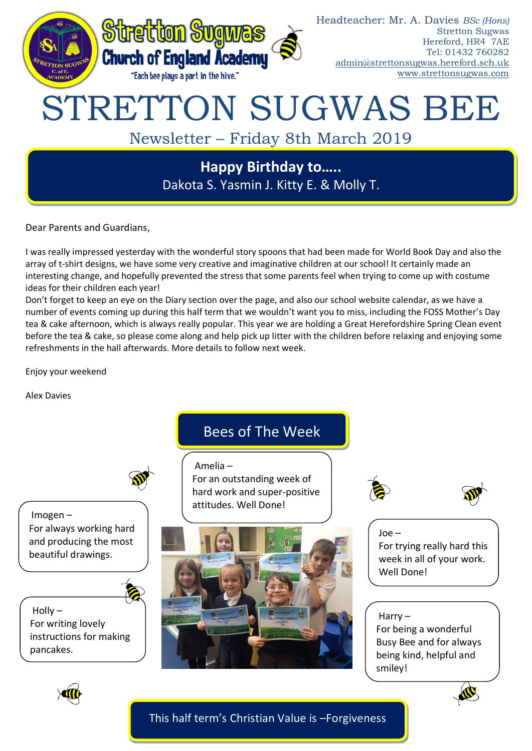

Dakota S. Yasmin J. Kitty E. & Molly T.

Dear Parents and Guardians,

I was really impressed yesterday with the wonderful story spoons that had been made for World Book Day and also the array of t-shirt designs, we have some very creative and imaginative children at our school! It certainly made an interesting change, and hopefully prevented the stress that some parents feel when trying to come up with costume ideas for their children each year!

Don't forget to keep an eye on the Diary section over the page, and also our school website calendar, as we have a number of events coming up during this half term that we wouldn't want you to miss, including the FOSS Mother's Day tea & cake afternoon, which is always really popular. This year we are holding a Great Herefordshire Spring Clean event before the tea & cake, so please come along and help pick up litter with the children before relaxing and enjoying some refreshments in the hall afterwards. More details to follow next week.

Enjoy your weekend

Alex Davies



# Imogen – For always working hard and producing the most beautiful drawings.

 $H$ olly – For writing lovely instructions for making pancakes.

# Bees of The Week

Amelia – For an outstanding week of hard work and super-positive attitudes. Well Done!







Joe – For trying really hard this week in all of your work. Well Done!

## Harry –

For being a wonderful Busy Bee and for always being kind, helpful and smiley!